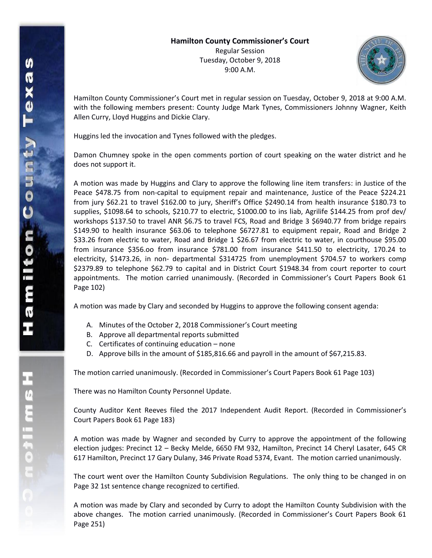

Hamilton County Commissioner's Court met in regular session on Tuesday, October 9, 2018 at 9:00 A.M. with the following members present: County Judge Mark Tynes, Commissioners Johnny Wagner, Keith Allen Curry, Lloyd Huggins and Dickie Clary.

Huggins led the invocation and Tynes followed with the pledges.

Damon Chumney spoke in the open comments portion of court speaking on the water district and he does not support it.

A motion was made by Huggins and Clary to approve the following line item transfers: in Justice of the Peace \$478.75 from non-capital to equipment repair and maintenance, Justice of the Peace \$224.21 from jury \$62.21 to travel \$162.00 to jury, Sheriff's Office \$2490.14 from health insurance \$180.73 to supplies, \$1098.64 to schools, \$210.77 to electric, \$1000.00 to ins liab, Agrilife \$144.25 from prof dev/ workshops \$137.50 to travel ANR \$6.75 to travel FCS, Road and Bridge 3 \$6940.77 from bridge repairs \$149.90 to health insurance \$63.06 to telephone \$6727.81 to equipment repair, Road and Bridge 2 \$33.26 from electric to water, Road and Bridge 1 \$26.67 from electric to water, in courthouse \$95.00 from insurance \$356.oo from insurance \$781.00 from insurance \$411.50 to electricity, 170.24 to electricity, \$1473.26, in non- departmental \$314725 from unemployment \$704.57 to workers comp \$2379.89 to telephone \$62.79 to capital and in District Court \$1948.34 from court reporter to court appointments. The motion carried unanimously. (Recorded in Commissioner's Court Papers Book 61 Page 102)

A motion was made by Clary and seconded by Huggins to approve the following consent agenda:

- A. Minutes of the October 2, 2018 Commissioner's Court meeting
- B. Approve all departmental reports submitted
- C. Certificates of continuing education none
- D. Approve bills in the amount of \$185,816.66 and payroll in the amount of \$67,215.83.

The motion carried unanimously. (Recorded in Commissioner's Court Papers Book 61 Page 103)

There was no Hamilton County Personnel Update.

County Auditor Kent Reeves filed the 2017 Independent Audit Report. (Recorded in Commissioner's Court Papers Book 61 Page 183)

A motion was made by Wagner and seconded by Curry to approve the appointment of the following election judges: Precinct 12 – Becky Melde, 6650 FM 932, Hamilton, Precinct 14 Cheryl Lasater, 645 CR 617 Hamilton, Precinct 17 Gary Dulany, 346 Private Road 5374, Evant. The motion carried unanimously.

The court went over the Hamilton County Subdivision Regulations. The only thing to be changed in on Page 32 1st sentence change recognized to certified.

A motion was made by Clary and seconded by Curry to adopt the Hamilton County Subdivision with the above changes. The motion carried unanimously. (Recorded in Commissioner's Court Papers Book 61 Page 251)